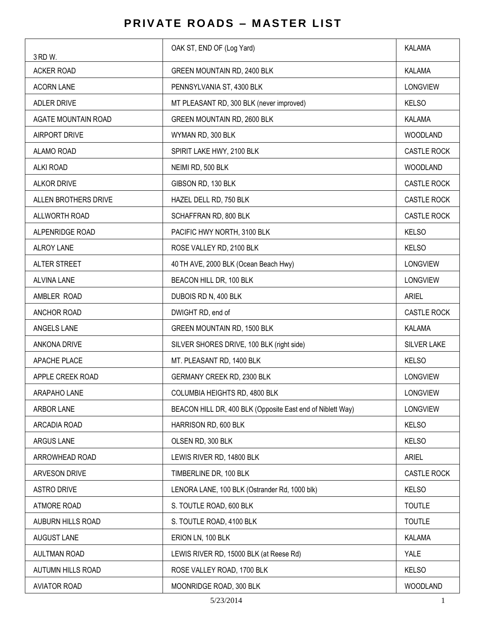## **PRIVATE ROADS - MASTER LIST**

| 3 RD W.                    | OAK ST, END OF (Log Yard)                                  | <b>KALAMA</b>      |
|----------------------------|------------------------------------------------------------|--------------------|
| <b>ACKER ROAD</b>          | GREEN MOUNTAIN RD, 2400 BLK                                | <b>KALAMA</b>      |
| <b>ACORN LANE</b>          | PENNSYLVANIA ST, 4300 BLK                                  | <b>LONGVIEW</b>    |
| ADLER DRIVE                | MT PLEASANT RD, 300 BLK (never improved)                   | <b>KELSO</b>       |
| <b>AGATE MOUNTAIN ROAD</b> | GREEN MOUNTAIN RD, 2600 BLK                                | <b>KALAMA</b>      |
| <b>AIRPORT DRIVE</b>       | WYMAN RD, 300 BLK                                          | <b>WOODLAND</b>    |
| ALAMO ROAD                 | SPIRIT LAKE HWY, 2100 BLK                                  | <b>CASTLE ROCK</b> |
| <b>ALKI ROAD</b>           | NEIMI RD, 500 BLK                                          | WOODLAND           |
| <b>ALKOR DRIVE</b>         | GIBSON RD, 130 BLK                                         | <b>CASTLE ROCK</b> |
| ALLEN BROTHERS DRIVE       | HAZEL DELL RD, 750 BLK                                     | <b>CASTLE ROCK</b> |
| ALLWORTH ROAD              | SCHAFFRAN RD, 800 BLK                                      | <b>CASTLE ROCK</b> |
| ALPENRIDGE ROAD            | PACIFIC HWY NORTH, 3100 BLK                                | <b>KELSO</b>       |
| <b>ALROY LANE</b>          | ROSE VALLEY RD, 2100 BLK                                   | <b>KELSO</b>       |
| ALTER STREET               | 40 TH AVE, 2000 BLK (Ocean Beach Hwy)                      | <b>LONGVIEW</b>    |
| <b>ALVINA LANE</b>         | BEACON HILL DR, 100 BLK                                    | <b>LONGVIEW</b>    |
| AMBLER ROAD                | DUBOIS RD N, 400 BLK                                       | <b>ARIEL</b>       |
| ANCHOR ROAD                | DWIGHT RD, end of                                          | <b>CASTLE ROCK</b> |
| ANGELS LANE                | GREEN MOUNTAIN RD, 1500 BLK                                | <b>KALAMA</b>      |
| ANKONA DRIVE               | SILVER SHORES DRIVE, 100 BLK (right side)                  | <b>SILVER LAKE</b> |
| APACHE PLACE               | MT. PLEASANT RD, 1400 BLK                                  | <b>KELSO</b>       |
| APPLE CREEK ROAD           | GERMANY CREEK RD, 2300 BLK                                 | <b>LONGVIEW</b>    |
| ARAPAHO LANE               | COLUMBIA HEIGHTS RD, 4800 BLK                              | LONGVIEW           |
| ARBOR LANE                 | BEACON HILL DR, 400 BLK (Opposite East end of Niblett Way) | LONGVIEW           |
| ARCADIA ROAD               | HARRISON RD, 600 BLK                                       | <b>KELSO</b>       |
| ARGUS LANE                 | OLSEN RD, 300 BLK                                          | <b>KELSO</b>       |
| ARROWHEAD ROAD             | LEWIS RIVER RD, 14800 BLK                                  | <b>ARIEL</b>       |
| ARVESON DRIVE              | TIMBERLINE DR, 100 BLK                                     | CASTLE ROCK        |
| <b>ASTRO DRIVE</b>         | LENORA LANE, 100 BLK (Ostrander Rd, 1000 blk)              | <b>KELSO</b>       |
| ATMORE ROAD                | S. TOUTLE ROAD, 600 BLK                                    | <b>TOUTLE</b>      |
| AUBURN HILLS ROAD          | S. TOUTLE ROAD, 4100 BLK                                   | <b>TOUTLE</b>      |
| <b>AUGUST LANE</b>         | ERION LN, 100 BLK                                          | KALAMA             |
| <b>AULTMAN ROAD</b>        | LEWIS RIVER RD, 15000 BLK (at Reese Rd)                    | YALE               |
| AUTUMN HILLS ROAD          | ROSE VALLEY ROAD, 1700 BLK                                 | <b>KELSO</b>       |
| <b>AVIATOR ROAD</b>        | MOONRIDGE ROAD, 300 BLK                                    | WOODLAND           |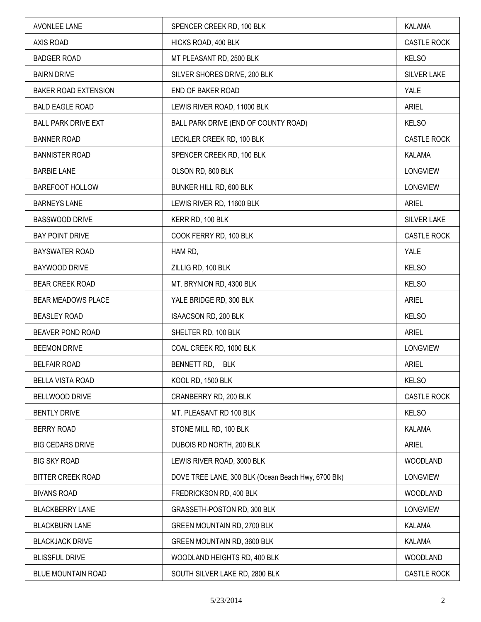| <b>AVONLEE LANE</b>         | SPENCER CREEK RD, 100 BLK                           | KALAMA             |
|-----------------------------|-----------------------------------------------------|--------------------|
| AXIS ROAD                   | HICKS ROAD, 400 BLK                                 | CASTLE ROCK        |
| <b>BADGER ROAD</b>          | MT PLEASANT RD, 2500 BLK                            | <b>KELSO</b>       |
| <b>BAIRN DRIVE</b>          | SILVER SHORES DRIVE, 200 BLK                        | SILVER LAKE        |
| <b>BAKER ROAD EXTENSION</b> | END OF BAKER ROAD                                   | YALE               |
| <b>BALD EAGLE ROAD</b>      | LEWIS RIVER ROAD, 11000 BLK                         | <b>ARIEL</b>       |
| <b>BALL PARK DRIVE EXT</b>  | BALL PARK DRIVE (END OF COUNTY ROAD)                | <b>KELSO</b>       |
| <b>BANNER ROAD</b>          | LECKLER CREEK RD, 100 BLK                           | CASTLE ROCK        |
| <b>BANNISTER ROAD</b>       | SPENCER CREEK RD, 100 BLK                           | KALAMA             |
| <b>BARBIE LANE</b>          | OLSON RD, 800 BLK                                   | LONGVIEW           |
| BAREFOOT HOLLOW             | BUNKER HILL RD, 600 BLK                             | <b>LONGVIEW</b>    |
| <b>BARNEYS LANE</b>         | LEWIS RIVER RD, 11600 BLK                           | <b>ARIEL</b>       |
| <b>BASSWOOD DRIVE</b>       | KERR RD, 100 BLK                                    | SILVER LAKE        |
| <b>BAY POINT DRIVE</b>      | COOK FERRY RD, 100 BLK                              | <b>CASTLE ROCK</b> |
| <b>BAYSWATER ROAD</b>       | HAM RD,                                             | YALE               |
| BAYWOOD DRIVE               | ZILLIG RD, 100 BLK                                  | <b>KELSO</b>       |
| <b>BEAR CREEK ROAD</b>      | MT. BRYNION RD, 4300 BLK                            | <b>KELSO</b>       |
| BEAR MEADOWS PLACE          | YALE BRIDGE RD, 300 BLK                             | <b>ARIEL</b>       |
| <b>BEASLEY ROAD</b>         | ISAACSON RD, 200 BLK                                | <b>KELSO</b>       |
| BEAVER POND ROAD            | SHELTER RD, 100 BLK                                 | <b>ARIEL</b>       |
| <b>BEEMON DRIVE</b>         | COAL CREEK RD, 1000 BLK                             | <b>LONGVIEW</b>    |
| <b>BELFAIR ROAD</b>         | BENNETT RD, BLK                                     | <b>ARIEL</b>       |
| <b>BELLA VISTA ROAD</b>     | KOOL RD, 1500 BLK                                   | <b>KELSO</b>       |
| BELLWOOD DRIVE              | CRANBERRY RD, 200 BLK                               | <b>CASTLE ROCK</b> |
| <b>BENTLY DRIVE</b>         | MT. PLEASANT RD 100 BLK                             | <b>KELSO</b>       |
| <b>BERRY ROAD</b>           | STONE MILL RD, 100 BLK                              | <b>KALAMA</b>      |
| <b>BIG CEDARS DRIVE</b>     | DUBOIS RD NORTH, 200 BLK                            | <b>ARIEL</b>       |
| <b>BIG SKY ROAD</b>         | LEWIS RIVER ROAD, 3000 BLK                          | <b>WOODLAND</b>    |
| <b>BITTER CREEK ROAD</b>    | DOVE TREE LANE, 300 BLK (Ocean Beach Hwy, 6700 Blk) | LONGVIEW           |
| <b>BIVANS ROAD</b>          | FREDRICKSON RD, 400 BLK                             | <b>WOODLAND</b>    |
| <b>BLACKBERRY LANE</b>      | GRASSETH-POSTON RD, 300 BLK                         | <b>LONGVIEW</b>    |
| <b>BLACKBURN LANE</b>       | GREEN MOUNTAIN RD, 2700 BLK                         | KALAMA             |
| <b>BLACKJACK DRIVE</b>      | GREEN MOUNTAIN RD, 3600 BLK                         | KALAMA             |
| <b>BLISSFUL DRIVE</b>       | WOODLAND HEIGHTS RD, 400 BLK                        | WOODLAND           |
| BLUE MOUNTAIN ROAD          | SOUTH SILVER LAKE RD, 2800 BLK                      | CASTLE ROCK        |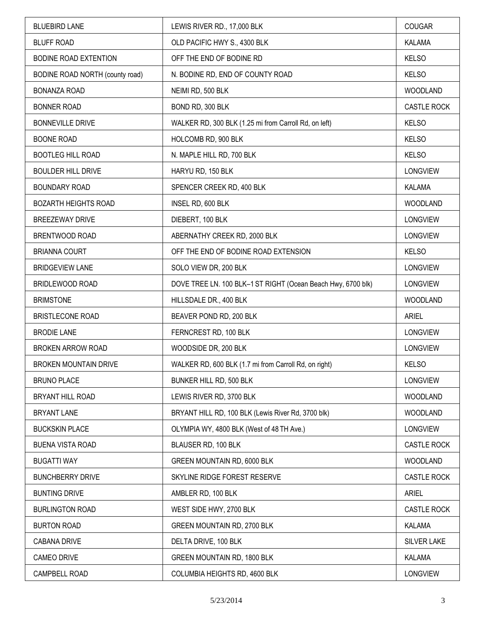| <b>BLUEBIRD LANE</b>            | LEWIS RIVER RD., 17,000 BLK                                  | COUGAR             |
|---------------------------------|--------------------------------------------------------------|--------------------|
| <b>BLUFF ROAD</b>               | OLD PACIFIC HWY S., 4300 BLK                                 | <b>KALAMA</b>      |
| BODINE ROAD EXTENTION           | OFF THE END OF BODINE RD                                     | <b>KELSO</b>       |
| BODINE ROAD NORTH (county road) | N. BODINE RD, END OF COUNTY ROAD                             | <b>KELSO</b>       |
| <b>BONANZA ROAD</b>             | NEIMI RD, 500 BLK                                            | WOODLAND           |
| <b>BONNER ROAD</b>              | BOND RD, 300 BLK                                             | <b>CASTLE ROCK</b> |
| <b>BONNEVILLE DRIVE</b>         | WALKER RD, 300 BLK (1.25 mi from Carroll Rd, on left)        | <b>KELSO</b>       |
| <b>BOONE ROAD</b>               | HOLCOMB RD, 900 BLK                                          | <b>KELSO</b>       |
| <b>BOOTLEG HILL ROAD</b>        | N. MAPLE HILL RD, 700 BLK                                    | <b>KELSO</b>       |
| <b>BOULDER HILL DRIVE</b>       | HARYU RD, 150 BLK                                            | <b>LONGVIEW</b>    |
| <b>BOUNDARY ROAD</b>            | SPENCER CREEK RD, 400 BLK                                    | KALAMA             |
| <b>BOZARTH HEIGHTS ROAD</b>     | INSEL RD, 600 BLK                                            | WOODLAND           |
| <b>BREEZEWAY DRIVE</b>          | DIEBERT, 100 BLK                                             | <b>LONGVIEW</b>    |
| BRENTWOOD ROAD                  | ABERNATHY CREEK RD, 2000 BLK                                 | <b>LONGVIEW</b>    |
| <b>BRIANNA COURT</b>            | OFF THE END OF BODINE ROAD EXTENSION                         | <b>KELSO</b>       |
| <b>BRIDGEVIEW LANE</b>          | SOLO VIEW DR, 200 BLK                                        | <b>LONGVIEW</b>    |
| BRIDLEWOOD ROAD                 | DOVE TREE LN. 100 BLK-1 ST RIGHT (Ocean Beach Hwy, 6700 blk) | <b>LONGVIEW</b>    |
| <b>BRIMSTONE</b>                | HILLSDALE DR., 400 BLK                                       | WOODLAND           |
| <b>BRISTLECONE ROAD</b>         | BEAVER POND RD, 200 BLK                                      | <b>ARIEL</b>       |
| <b>BRODIE LANE</b>              | FERNCREST RD, 100 BLK                                        | <b>LONGVIEW</b>    |
| BROKEN ARROW ROAD               | WOODSIDE DR, 200 BLK                                         | <b>LONGVIEW</b>    |
| <b>BROKEN MOUNTAIN DRIVE</b>    | WALKER RD, 600 BLK (1.7 mi from Carroll Rd, on right)        | <b>KELSO</b>       |
| <b>BRUNO PLACE</b>              | BUNKER HILL RD, 500 BLK                                      | <b>LONGVIEW</b>    |
| BRYANT HILL ROAD                | LEWIS RIVER RD, 3700 BLK                                     | WOODLAND           |
| <b>BRYANT LANE</b>              | BRYANT HILL RD, 100 BLK (Lewis River Rd, 3700 blk)           | <b>WOODLAND</b>    |
| <b>BUCKSKIN PLACE</b>           | OLYMPIA WY, 4800 BLK (West of 48 TH Ave.)                    | <b>LONGVIEW</b>    |
| <b>BUENA VISTA ROAD</b>         | BLAUSER RD, 100 BLK                                          | <b>CASTLE ROCK</b> |
| <b>BUGATTI WAY</b>              | GREEN MOUNTAIN RD, 6000 BLK                                  | WOODLAND           |
| <b>BUNCHBERRY DRIVE</b>         | SKYLINE RIDGE FOREST RESERVE                                 | CASTLE ROCK        |
| <b>BUNTING DRIVE</b>            | AMBLER RD, 100 BLK                                           | <b>ARIEL</b>       |
| <b>BURLINGTON ROAD</b>          | WEST SIDE HWY, 2700 BLK                                      | CASTLE ROCK        |
| <b>BURTON ROAD</b>              | GREEN MOUNTAIN RD, 2700 BLK                                  | KALAMA             |
| <b>CABANA DRIVE</b>             | DELTA DRIVE, 100 BLK                                         | <b>SILVER LAKE</b> |
| <b>CAMEO DRIVE</b>              | GREEN MOUNTAIN RD, 1800 BLK                                  | <b>KALAMA</b>      |
| CAMPBELL ROAD                   | COLUMBIA HEIGHTS RD, 4600 BLK                                | <b>LONGVIEW</b>    |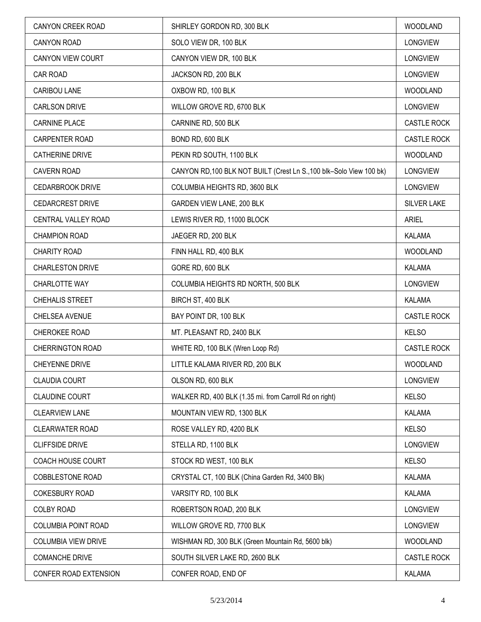| <b>CANYON CREEK ROAD</b>   | SHIRLEY GORDON RD, 300 BLK                                           | <b>WOODLAND</b>    |
|----------------------------|----------------------------------------------------------------------|--------------------|
| <b>CANYON ROAD</b>         | SOLO VIEW DR, 100 BLK                                                | <b>LONGVIEW</b>    |
| CANYON VIEW COURT          | CANYON VIEW DR, 100 BLK                                              | <b>LONGVIEW</b>    |
| CAR ROAD                   | JACKSON RD, 200 BLK                                                  | <b>LONGVIEW</b>    |
| CARIBOU LANE               | OXBOW RD, 100 BLK                                                    | WOODLAND           |
| <b>CARLSON DRIVE</b>       | WILLOW GROVE RD, 6700 BLK                                            | LONGVIEW           |
| <b>CARNINE PLACE</b>       | CARNINE RD, 500 BLK                                                  | <b>CASTLE ROCK</b> |
| CARPENTER ROAD             | BOND RD, 600 BLK                                                     | <b>CASTLE ROCK</b> |
| <b>CATHERINE DRIVE</b>     | PEKIN RD SOUTH, 1100 BLK                                             | <b>WOODLAND</b>    |
| <b>CAVERN ROAD</b>         | CANYON RD, 100 BLK NOT BUILT (Crest Ln S., 100 blk-Solo View 100 bk) | <b>LONGVIEW</b>    |
| <b>CEDARBROOK DRIVE</b>    | COLUMBIA HEIGHTS RD, 3600 BLK                                        | <b>LONGVIEW</b>    |
| <b>CEDARCREST DRIVE</b>    | GARDEN VIEW LANE, 200 BLK                                            | <b>SILVER LAKE</b> |
| CENTRAL VALLEY ROAD        | LEWIS RIVER RD, 11000 BLOCK                                          | <b>ARIEL</b>       |
| <b>CHAMPION ROAD</b>       | JAEGER RD, 200 BLK                                                   | KALAMA             |
| CHARITY ROAD               | FINN HALL RD, 400 BLK                                                | <b>WOODLAND</b>    |
| <b>CHARLESTON DRIVE</b>    | GORE RD, 600 BLK                                                     | <b>KALAMA</b>      |
| CHARLOTTE WAY              | COLUMBIA HEIGHTS RD NORTH, 500 BLK                                   | <b>LONGVIEW</b>    |
| CHEHALIS STREET            | BIRCH ST, 400 BLK                                                    | <b>KALAMA</b>      |
| CHELSEA AVENUE             | BAY POINT DR, 100 BLK                                                | <b>CASTLE ROCK</b> |
| CHEROKEE ROAD              | MT. PLEASANT RD, 2400 BLK                                            | <b>KELSO</b>       |
| <b>CHERRINGTON ROAD</b>    | WHITE RD, 100 BLK (Wren Loop Rd)                                     | <b>CASTLE ROCK</b> |
| <b>CHEYENNE DRIVE</b>      | LITTLE KALAMA RIVER RD, 200 BLK                                      | WOODLAND           |
| <b>CLAUDIA COURT</b>       | OLSON RD, 600 BLK                                                    | <b>LONGVIEW</b>    |
| <b>CLAUDINE COURT</b>      | WALKER RD, 400 BLK (1.35 mi. from Carroll Rd on right)               | <b>KELSO</b>       |
| <b>CLEARVIEW LANE</b>      | MOUNTAIN VIEW RD, 1300 BLK                                           | <b>KALAMA</b>      |
| <b>CLEARWATER ROAD</b>     | ROSE VALLEY RD, 4200 BLK                                             | <b>KELSO</b>       |
| <b>CLIFFSIDE DRIVE</b>     | STELLA RD, 1100 BLK                                                  | <b>LONGVIEW</b>    |
| COACH HOUSE COURT          | STOCK RD WEST, 100 BLK                                               | <b>KELSO</b>       |
| COBBLESTONE ROAD           | CRYSTAL CT, 100 BLK (China Garden Rd, 3400 Blk)                      | <b>KALAMA</b>      |
| <b>COKESBURY ROAD</b>      | VARSITY RD, 100 BLK                                                  | KALAMA             |
| <b>COLBY ROAD</b>          | ROBERTSON ROAD, 200 BLK                                              | LONGVIEW           |
| COLUMBIA POINT ROAD        | WILLOW GROVE RD, 7700 BLK                                            | <b>LONGVIEW</b>    |
| <b>COLUMBIA VIEW DRIVE</b> | WISHMAN RD, 300 BLK (Green Mountain Rd, 5600 blk)                    | <b>WOODLAND</b>    |
| <b>COMANCHE DRIVE</b>      | SOUTH SILVER LAKE RD, 2600 BLK                                       | <b>CASTLE ROCK</b> |
| CONFER ROAD EXTENSION      | CONFER ROAD, END OF                                                  | KALAMA             |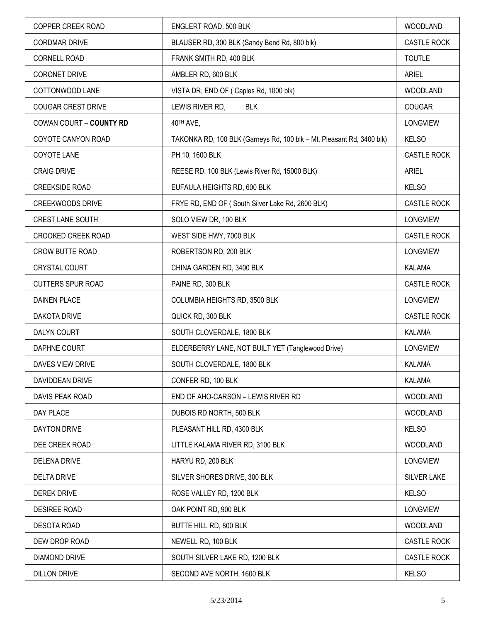| COPPER CREEK ROAD         | ENGLERT ROAD, 500 BLK                                                 | <b>WOODLAND</b>    |
|---------------------------|-----------------------------------------------------------------------|--------------------|
| <b>CORDMAR DRIVE</b>      | BLAUSER RD, 300 BLK (Sandy Bend Rd, 800 blk)                          | <b>CASTLE ROCK</b> |
| <b>CORNELL ROAD</b>       | FRANK SMITH RD, 400 BLK                                               | <b>TOUTLE</b>      |
| <b>CORONET DRIVE</b>      | AMBLER RD, 600 BLK                                                    | <b>ARIEL</b>       |
| COTTONWOOD LANE           | VISTA DR, END OF (Caples Rd, 1000 blk)                                | <b>WOODLAND</b>    |
| <b>COUGAR CREST DRIVE</b> | LEWIS RIVER RD,<br><b>BLK</b>                                         | <b>COUGAR</b>      |
| COWAN COURT - COUNTY RD   | 40TH AVE,                                                             | LONGVIEW           |
| COYOTE CANYON ROAD        | TAKONKA RD, 100 BLK (Garneys Rd, 100 blk - Mt. Pleasant Rd, 3400 blk) | <b>KELSO</b>       |
| COYOTE LANE               | PH 10, 1600 BLK                                                       | CASTLE ROCK        |
| <b>CRAIG DRIVE</b>        | REESE RD, 100 BLK (Lewis River Rd, 15000 BLK)                         | <b>ARIEL</b>       |
| <b>CREEKSIDE ROAD</b>     | EUFAULA HEIGHTS RD, 600 BLK                                           | <b>KELSO</b>       |
| <b>CREEKWOODS DRIVE</b>   | FRYE RD, END OF (South Silver Lake Rd, 2600 BLK)                      | <b>CASTLE ROCK</b> |
| <b>CREST LANE SOUTH</b>   | SOLO VIEW DR, 100 BLK                                                 | LONGVIEW           |
| CROOKED CREEK ROAD        | WEST SIDE HWY, 7000 BLK                                               | CASTLE ROCK        |
| CROW BUTTE ROAD           | ROBERTSON RD, 200 BLK                                                 | <b>LONGVIEW</b>    |
| <b>CRYSTAL COURT</b>      | CHINA GARDEN RD, 3400 BLK                                             | <b>KALAMA</b>      |
| <b>CUTTERS SPUR ROAD</b>  | PAINE RD, 300 BLK                                                     | CASTLE ROCK        |
| <b>DAINEN PLACE</b>       | COLUMBIA HEIGHTS RD, 3500 BLK                                         | <b>LONGVIEW</b>    |
| <b>DAKOTA DRIVE</b>       | QUICK RD, 300 BLK                                                     | <b>CASTLE ROCK</b> |
| DALYN COURT               | SOUTH CLOVERDALE, 1800 BLK                                            | <b>KALAMA</b>      |
| DAPHNE COURT              | ELDERBERRY LANE, NOT BUILT YET (Tanglewood Drive)                     | <b>LONGVIEW</b>    |
| DAVES VIEW DRIVE          | SOUTH CLOVERDALE, 1800 BLK                                            | <b>KALAMA</b>      |
| DAVIDDEAN DRIVE           | CONFER RD, 100 BLK                                                    | KALAMA             |
| DAVIS PEAK ROAD           | END OF AHO-CARSON - LEWIS RIVER RD                                    | <b>WOODLAND</b>    |
| DAY PLACE                 | DUBOIS RD NORTH, 500 BLK                                              | <b>WOODLAND</b>    |
| <b>DAYTON DRIVE</b>       | PLEASANT HILL RD, 4300 BLK                                            | <b>KELSO</b>       |
| DEE CREEK ROAD            | LITTLE KALAMA RIVER RD, 3100 BLK                                      | <b>WOODLAND</b>    |
| <b>DELENA DRIVE</b>       | HARYU RD, 200 BLK                                                     | LONGVIEW           |
| <b>DELTA DRIVE</b>        | SILVER SHORES DRIVE, 300 BLK                                          | SILVER LAKE        |
| <b>DEREK DRIVE</b>        | ROSE VALLEY RD, 1200 BLK                                              | <b>KELSO</b>       |
| DESIREE ROAD              | OAK POINT RD, 900 BLK                                                 | LONGVIEW           |
| <b>DESOTA ROAD</b>        | BUTTE HILL RD, 800 BLK                                                | <b>WOODLAND</b>    |
| DEW DROP ROAD             | NEWELL RD, 100 BLK                                                    | CASTLE ROCK        |
| DIAMOND DRIVE             | SOUTH SILVER LAKE RD, 1200 BLK                                        | CASTLE ROCK        |
| <b>DILLON DRIVE</b>       | SECOND AVE NORTH, 1600 BLK                                            | <b>KELSO</b>       |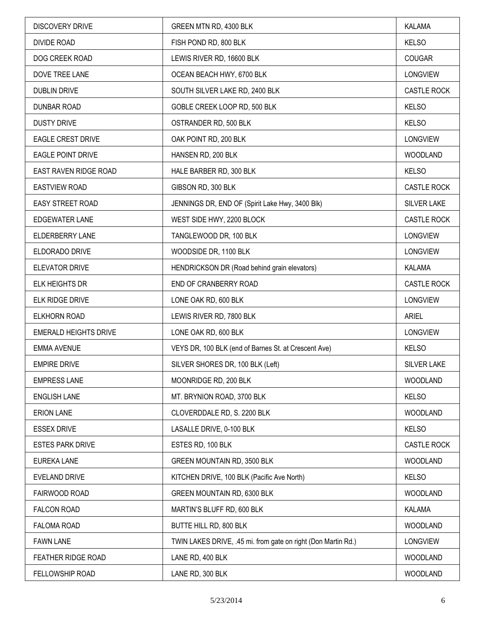| <b>DISCOVERY DRIVE</b>       | GREEN MTN RD, 4300 BLK                                        | KALAMA             |
|------------------------------|---------------------------------------------------------------|--------------------|
| <b>DIVIDE ROAD</b>           | FISH POND RD, 800 BLK                                         | <b>KELSO</b>       |
| DOG CREEK ROAD               | LEWIS RIVER RD, 16600 BLK                                     | <b>COUGAR</b>      |
| DOVE TREE LANE               | OCEAN BEACH HWY, 6700 BLK                                     | <b>LONGVIEW</b>    |
| <b>DUBLIN DRIVE</b>          | SOUTH SILVER LAKE RD, 2400 BLK                                | <b>CASTLE ROCK</b> |
| <b>DUNBAR ROAD</b>           | GOBLE CREEK LOOP RD, 500 BLK                                  | <b>KELSO</b>       |
| <b>DUSTY DRIVE</b>           | OSTRANDER RD, 500 BLK                                         | <b>KELSO</b>       |
| <b>EAGLE CREST DRIVE</b>     | OAK POINT RD, 200 BLK                                         | LONGVIEW           |
| <b>EAGLE POINT DRIVE</b>     | HANSEN RD, 200 BLK                                            | WOODLAND           |
| EAST RAVEN RIDGE ROAD        | HALE BARBER RD, 300 BLK                                       | <b>KELSO</b>       |
| <b>EASTVIEW ROAD</b>         | GIBSON RD, 300 BLK                                            | CASTLE ROCK        |
| EASY STREET ROAD             | JENNINGS DR, END OF (Spirit Lake Hwy, 3400 Blk)               | SILVER LAKE        |
| <b>EDGEWATER LANE</b>        | WEST SIDE HWY, 2200 BLOCK                                     | CASTLE ROCK        |
| <b>ELDERBERRY LANE</b>       | TANGLEWOOD DR, 100 BLK                                        | <b>LONGVIEW</b>    |
| ELDORADO DRIVE               | WOODSIDE DR, 1100 BLK                                         | <b>LONGVIEW</b>    |
| <b>ELEVATOR DRIVE</b>        | HENDRICKSON DR (Road behind grain elevators)                  | <b>KALAMA</b>      |
| ELK HEIGHTS DR               | END OF CRANBERRY ROAD                                         | CASTLE ROCK        |
| ELK RIDGE DRIVE              | LONE OAK RD, 600 BLK                                          | <b>LONGVIEW</b>    |
| ELKHORN ROAD                 | LEWIS RIVER RD, 7800 BLK                                      | <b>ARIEL</b>       |
| <b>EMERALD HEIGHTS DRIVE</b> | LONE OAK RD, 600 BLK                                          | <b>LONGVIEW</b>    |
| <b>EMMA AVENUE</b>           | VEYS DR, 100 BLK (end of Barnes St. at Crescent Ave)          | <b>KELSO</b>       |
| <b>EMPIRE DRIVE</b>          | SILVER SHORES DR, 100 BLK (Left)                              | <b>SILVER LAKE</b> |
| <b>EMPRESS LANE</b>          | MOONRIDGE RD, 200 BLK                                         | WOODLAND           |
| <b>ENGLISH LANE</b>          | MT. BRYNION ROAD, 3700 BLK                                    | <b>KELSO</b>       |
| <b>ERION LANE</b>            | CLOVERDDALE RD, S. 2200 BLK                                   | WOODLAND           |
| <b>ESSEX DRIVE</b>           | LASALLE DRIVE, 0-100 BLK                                      | <b>KELSO</b>       |
| <b>ESTES PARK DRIVE</b>      | ESTES RD, 100 BLK                                             | CASTLE ROCK        |
| <b>EUREKA LANE</b>           | <b>GREEN MOUNTAIN RD, 3500 BLK</b>                            | WOODLAND           |
| EVELAND DRIVE                | KITCHEN DRIVE, 100 BLK (Pacific Ave North)                    | <b>KELSO</b>       |
| FAIRWOOD ROAD                | GREEN MOUNTAIN RD, 6300 BLK                                   | WOODLAND           |
| <b>FALCON ROAD</b>           | MARTIN'S BLUFF RD, 600 BLK                                    | KALAMA             |
| FALOMA ROAD                  | BUTTE HILL RD, 800 BLK                                        | WOODLAND           |
| <b>FAWN LANE</b>             | TWIN LAKES DRIVE, .45 mi. from gate on right (Don Martin Rd.) | <b>LONGVIEW</b>    |
| FEATHER RIDGE ROAD           | LANE RD, 400 BLK                                              | WOODLAND           |
| FELLOWSHIP ROAD              | LANE RD, 300 BLK                                              | WOODLAND           |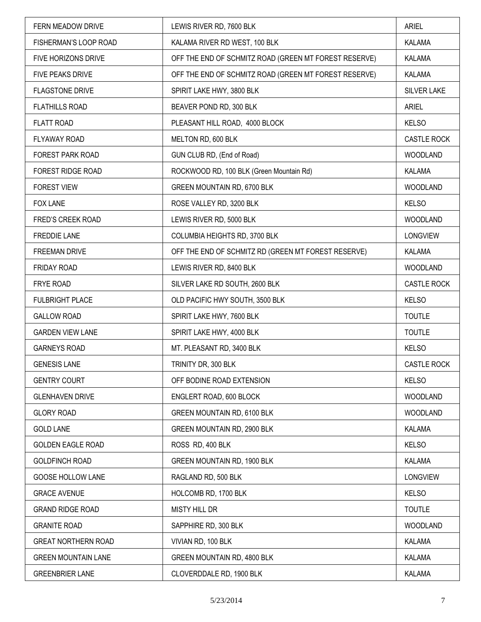| FERN MEADOW DRIVE          | LEWIS RIVER RD, 7600 BLK                              | <b>ARIEL</b>    |
|----------------------------|-------------------------------------------------------|-----------------|
| FISHERMAN'S LOOP ROAD      | KALAMA RIVER RD WEST, 100 BLK                         | <b>KALAMA</b>   |
| FIVE HORIZONS DRIVE        | OFF THE END OF SCHMITZ ROAD (GREEN MT FOREST RESERVE) | KALAMA          |
| FIVE PEAKS DRIVE           | OFF THE END OF SCHMITZ ROAD (GREEN MT FOREST RESERVE) | KALAMA          |
| <b>FLAGSTONE DRIVE</b>     | SPIRIT LAKE HWY, 3800 BLK                             | SILVER LAKE     |
| <b>FLATHILLS ROAD</b>      | BEAVER POND RD, 300 BLK                               | <b>ARIEL</b>    |
| <b>FLATT ROAD</b>          | PLEASANT HILL ROAD, 4000 BLOCK                        | <b>KELSO</b>    |
| FLYAWAY ROAD               | MELTON RD, 600 BLK                                    | CASTLE ROCK     |
| FOREST PARK ROAD           | GUN CLUB RD, (End of Road)                            | <b>WOODLAND</b> |
| FOREST RIDGE ROAD          | ROCKWOOD RD, 100 BLK (Green Mountain Rd)              | KALAMA          |
| <b>FOREST VIEW</b>         | GREEN MOUNTAIN RD, 6700 BLK                           | <b>WOODLAND</b> |
| <b>FOX LANE</b>            | ROSE VALLEY RD, 3200 BLK                              | <b>KELSO</b>    |
| FRED'S CREEK ROAD          | LEWIS RIVER RD, 5000 BLK                              | <b>WOODLAND</b> |
| <b>FREDDIE LANE</b>        | COLUMBIA HEIGHTS RD, 3700 BLK                         | LONGVIEW        |
| FREEMAN DRIVE              | OFF THE END OF SCHMITZ RD (GREEN MT FOREST RESERVE)   | KALAMA          |
| FRIDAY ROAD                | LEWIS RIVER RD, 8400 BLK                              | <b>WOODLAND</b> |
| FRYE ROAD                  | SILVER LAKE RD SOUTH, 2600 BLK                        | CASTLE ROCK     |
| <b>FULBRIGHT PLACE</b>     | OLD PACIFIC HWY SOUTH, 3500 BLK                       | <b>KELSO</b>    |
| <b>GALLOW ROAD</b>         | SPIRIT LAKE HWY, 7600 BLK                             | <b>TOUTLE</b>   |
| <b>GARDEN VIEW LANE</b>    | SPIRIT LAKE HWY, 4000 BLK                             | <b>TOUTLE</b>   |
| <b>GARNEYS ROAD</b>        | MT. PLEASANT RD, 3400 BLK                             | <b>KELSO</b>    |
| <b>GENESIS LANE</b>        | TRINITY DR, 300 BLK                                   | CASTLE ROCK     |
| <b>GENTRY COURT</b>        | OFF BODINE ROAD EXTENSION                             | <b>KELSO</b>    |
| <b>GLENHAVEN DRIVE</b>     | ENGLERT ROAD, 600 BLOCK                               | <b>WOODLAND</b> |
| <b>GLORY ROAD</b>          | GREEN MOUNTAIN RD, 6100 BLK                           | <b>WOODLAND</b> |
| <b>GOLD LANE</b>           | GREEN MOUNTAIN RD, 2900 BLK                           | <b>KALAMA</b>   |
| <b>GOLDEN EAGLE ROAD</b>   | ROSS RD, 400 BLK                                      | <b>KELSO</b>    |
| <b>GOLDFINCH ROAD</b>      | <b>GREEN MOUNTAIN RD, 1900 BLK</b>                    | <b>KALAMA</b>   |
| GOOSE HOLLOW LANE          | RAGLAND RD, 500 BLK                                   | <b>LONGVIEW</b> |
| <b>GRACE AVENUE</b>        | HOLCOMB RD, 1700 BLK                                  | <b>KELSO</b>    |
| <b>GRAND RIDGE ROAD</b>    | <b>MISTY HILL DR</b>                                  | <b>TOUTLE</b>   |
| <b>GRANITE ROAD</b>        | SAPPHIRE RD, 300 BLK                                  | <b>WOODLAND</b> |
| <b>GREAT NORTHERN ROAD</b> | VIVIAN RD, 100 BLK                                    | <b>KALAMA</b>   |
| <b>GREEN MOUNTAIN LANE</b> | GREEN MOUNTAIN RD, 4800 BLK                           | KALAMA          |
| <b>GREENBRIER LANE</b>     | CLOVERDDALE RD, 1900 BLK                              | KALAMA          |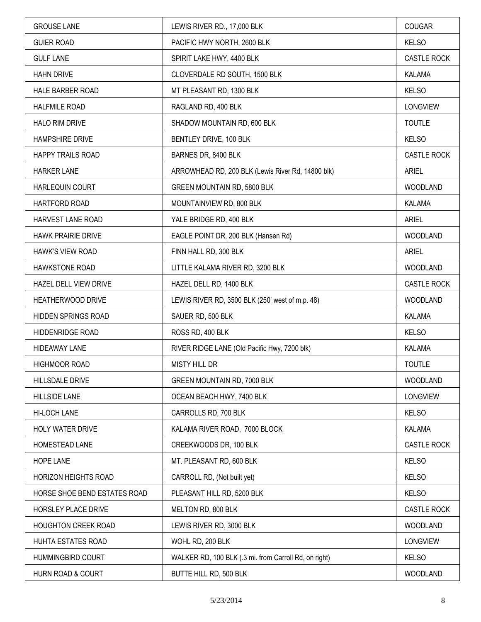| <b>GROUSE LANE</b>           | LEWIS RIVER RD., 17,000 BLK                           | COUGAR             |
|------------------------------|-------------------------------------------------------|--------------------|
| <b>GUIER ROAD</b>            | PACIFIC HWY NORTH, 2600 BLK                           | <b>KELSO</b>       |
| <b>GULF LANE</b>             | SPIRIT LAKE HWY, 4400 BLK                             | CASTLE ROCK        |
| <b>HAHN DRIVE</b>            | CLOVERDALE RD SOUTH, 1500 BLK                         | <b>KALAMA</b>      |
| HALE BARBER ROAD             | MT PLEASANT RD, 1300 BLK                              | <b>KELSO</b>       |
| <b>HALFMILE ROAD</b>         | RAGLAND RD, 400 BLK                                   | <b>LONGVIEW</b>    |
| <b>HALO RIM DRIVE</b>        | SHADOW MOUNTAIN RD, 600 BLK                           | <b>TOUTLE</b>      |
| <b>HAMPSHIRE DRIVE</b>       | BENTLEY DRIVE, 100 BLK                                | <b>KELSO</b>       |
| <b>HAPPY TRAILS ROAD</b>     | BARNES DR, 8400 BLK                                   | CASTLE ROCK        |
| <b>HARKER LANE</b>           | ARROWHEAD RD, 200 BLK (Lewis River Rd, 14800 blk)     | <b>ARIEL</b>       |
| HARLEQUIN COURT              | GREEN MOUNTAIN RD, 5800 BLK                           | <b>WOODLAND</b>    |
| HARTFORD ROAD                | MOUNTAINVIEW RD, 800 BLK                              | <b>KALAMA</b>      |
| HARVEST LANE ROAD            | YALE BRIDGE RD, 400 BLK                               | <b>ARIEL</b>       |
| <b>HAWK PRAIRIE DRIVE</b>    | EAGLE POINT DR, 200 BLK (Hansen Rd)                   | <b>WOODLAND</b>    |
| HAWK'S VIEW ROAD             | FINN HALL RD, 300 BLK                                 | <b>ARIEL</b>       |
| <b>HAWKSTONE ROAD</b>        | LITTLE KALAMA RIVER RD, 3200 BLK                      | <b>WOODLAND</b>    |
| HAZEL DELL VIEW DRIVE        | HAZEL DELL RD, 1400 BLK                               | <b>CASTLE ROCK</b> |
| HEATHERWOOD DRIVE            | LEWIS RIVER RD, 3500 BLK (250' west of m.p. 48)       | <b>WOODLAND</b>    |
| HIDDEN SPRINGS ROAD          | SAUER RD, 500 BLK                                     | <b>KALAMA</b>      |
| HIDDENRIDGE ROAD             | ROSS RD, 400 BLK                                      | <b>KELSO</b>       |
| HIDEAWAY LANE                | RIVER RIDGE LANE (Old Pacific Hwy, 7200 blk)          | KALAMA             |
| <b>HIGHMOOR ROAD</b>         | <b>MISTY HILL DR</b>                                  | <b>TOUTLE</b>      |
| <b>HILLSDALE DRIVE</b>       | GREEN MOUNTAIN RD, 7000 BLK                           | <b>WOODLAND</b>    |
| <b>HILLSIDE LANE</b>         | OCEAN BEACH HWY, 7400 BLK                             | LONGVIEW           |
| HI-LOCH LANE                 | CARROLLS RD, 700 BLK                                  | <b>KELSO</b>       |
| HOLY WATER DRIVE             | KALAMA RIVER ROAD, 7000 BLOCK                         | KALAMA             |
| HOMESTEAD LANE               | CREEKWOODS DR, 100 BLK                                | <b>CASTLE ROCK</b> |
| <b>HOPE LANE</b>             | MT. PLEASANT RD, 600 BLK                              | <b>KELSO</b>       |
| HORIZON HEIGHTS ROAD         | CARROLL RD, (Not built yet)                           | <b>KELSO</b>       |
| HORSE SHOE BEND ESTATES ROAD | PLEASANT HILL RD, 5200 BLK                            | <b>KELSO</b>       |
| HORSLEY PLACE DRIVE          | MELTON RD, 800 BLK                                    | CASTLE ROCK        |
| HOUGHTON CREEK ROAD          | LEWIS RIVER RD, 3000 BLK                              | <b>WOODLAND</b>    |
| HUHTA ESTATES ROAD           | WOHL RD, 200 BLK                                      | <b>LONGVIEW</b>    |
| HUMMINGBIRD COURT            | WALKER RD, 100 BLK (.3 mi. from Carroll Rd, on right) | <b>KELSO</b>       |
| HURN ROAD & COURT            | BUTTE HILL RD, 500 BLK                                | <b>WOODLAND</b>    |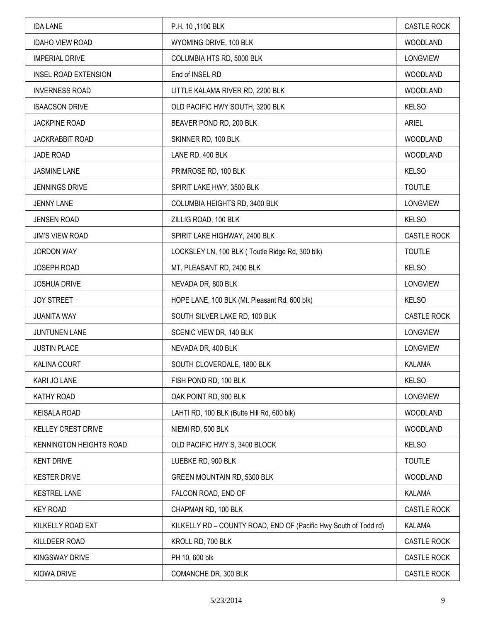| <b>IDA LANE</b>             | P.H. 10, 1100 BLK                                                | <b>CASTLE ROCK</b> |
|-----------------------------|------------------------------------------------------------------|--------------------|
| <b>IDAHO VIEW ROAD</b>      | WYOMING DRIVE, 100 BLK                                           | <b>WOODLAND</b>    |
| <b>IMPERIAL DRIVE</b>       | COLUMBIA HTS RD, 5000 BLK                                        | LONGVIEW           |
| <b>INSEL ROAD EXTENSION</b> | End of INSEL RD                                                  | WOODLAND           |
| <b>INVERNESS ROAD</b>       | LITTLE KALAMA RIVER RD, 2200 BLK                                 | <b>WOODLAND</b>    |
| <b>ISAACSON DRIVE</b>       | OLD PACIFIC HWY SOUTH, 3200 BLK                                  | <b>KELSO</b>       |
| <b>JACKPINE ROAD</b>        | BEAVER POND RD, 200 BLK                                          | <b>ARIEL</b>       |
| <b>JACKRABBIT ROAD</b>      | SKINNER RD, 100 BLK                                              | WOODLAND           |
| JADE ROAD                   | LANE RD, 400 BLK                                                 | <b>WOODLAND</b>    |
| <b>JASMINE LANE</b>         | PRIMROSE RD, 100 BLK                                             | <b>KELSO</b>       |
| <b>JENNINGS DRIVE</b>       | SPIRIT LAKE HWY, 3500 BLK                                        | <b>TOUTLE</b>      |
| <b>JENNY LANE</b>           | COLUMBIA HEIGHTS RD, 3400 BLK                                    | <b>LONGVIEW</b>    |
| <b>JENSEN ROAD</b>          | ZILLIG ROAD, 100 BLK                                             | <b>KELSO</b>       |
| <b>JIM'S VIEW ROAD</b>      | SPIRIT LAKE HIGHWAY, 2400 BLK                                    | CASTLE ROCK        |
| <b>JORDON WAY</b>           | LOCKSLEY LN, 100 BLK (Toutle Ridge Rd, 300 blk)                  | <b>TOUTLE</b>      |
| <b>JOSEPH ROAD</b>          | MT. PLEASANT RD, 2400 BLK                                        | <b>KELSO</b>       |
| <b>JOSHUA DRIVE</b>         | NEVADA DR, 800 BLK                                               | <b>LONGVIEW</b>    |
| <b>JOY STREET</b>           | HOPE LANE, 100 BLK (Mt. Pleasant Rd, 600 blk)                    | <b>KELSO</b>       |
| <b>JUANITA WAY</b>          | SOUTH SILVER LAKE RD, 100 BLK                                    | <b>CASTLE ROCK</b> |
| JUNTUNEN LANE               | SCENIC VIEW DR, 140 BLK                                          | <b>LONGVIEW</b>    |
| <b>JUSTIN PLACE</b>         | NEVADA DR, 400 BLK                                               | <b>LONGVIEW</b>    |
| <b>KALINA COURT</b>         | SOUTH CLOVERDALE, 1800 BLK                                       | <b>KALAMA</b>      |
| KARI JO LANE                | FISH POND RD, 100 BLK                                            | <b>KELSO</b>       |
| <b>KATHY ROAD</b>           | OAK POINT RD, 900 BLK                                            | <b>LONGVIEW</b>    |
| <b>KEISALA ROAD</b>         | LAHTI RD, 100 BLK (Butte Hill Rd, 600 blk)                       | <b>WOODLAND</b>    |
| KELLEY CREST DRIVE          | NIEMI RD, 500 BLK                                                | <b>WOODLAND</b>    |
| KENNINGTON HEIGHTS ROAD     | OLD PACIFIC HWY S, 3400 BLOCK                                    | <b>KELSO</b>       |
| <b>KENT DRIVE</b>           | LUEBKE RD, 900 BLK                                               | <b>TOUTLE</b>      |
| <b>KESTER DRIVE</b>         | GREEN MOUNTAIN RD, 5300 BLK                                      | <b>WOODLAND</b>    |
| <b>KESTREL LANE</b>         | FALCON ROAD, END OF                                              | <b>KALAMA</b>      |
| <b>KEY ROAD</b>             | CHAPMAN RD, 100 BLK                                              | <b>CASTLE ROCK</b> |
| KILKELLY ROAD EXT           | KILKELLY RD - COUNTY ROAD, END OF (Pacific Hwy South of Todd rd) | <b>KALAMA</b>      |
| KILLDEER ROAD               | KROLL RD, 700 BLK                                                | CASTLE ROCK        |
| <b>KINGSWAY DRIVE</b>       | PH 10, 600 blk                                                   | CASTLE ROCK        |
| KIOWA DRIVE                 | COMANCHE DR, 300 BLK                                             | CASTLE ROCK        |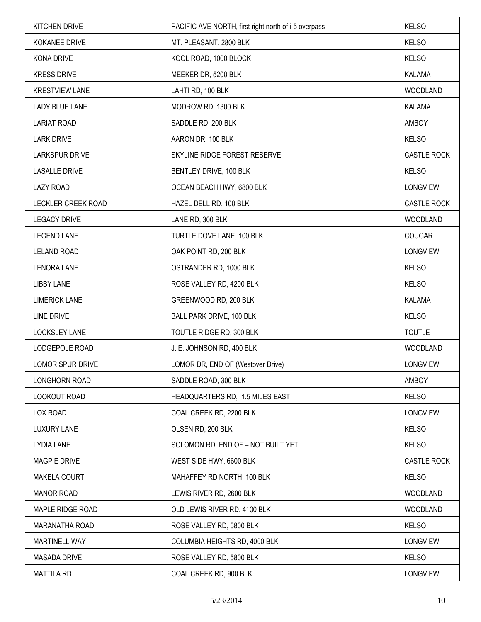| <b>KITCHEN DRIVE</b>      | PACIFIC AVE NORTH, first right north of i-5 overpass | <b>KELSO</b>       |
|---------------------------|------------------------------------------------------|--------------------|
| <b>KOKANEE DRIVE</b>      | MT. PLEASANT, 2800 BLK                               | <b>KELSO</b>       |
| KONA DRIVE                | KOOL ROAD, 1000 BLOCK                                | <b>KELSO</b>       |
| <b>KRESS DRIVE</b>        | MEEKER DR, 5200 BLK                                  | <b>KALAMA</b>      |
| <b>KRESTVIEW LANE</b>     | LAHTI RD, 100 BLK                                    | WOODLAND           |
| <b>LADY BLUE LANE</b>     | MODROW RD, 1300 BLK                                  | KALAMA             |
| <b>LARIAT ROAD</b>        | SADDLE RD, 200 BLK                                   | AMBOY              |
| <b>LARK DRIVE</b>         | AARON DR, 100 BLK                                    | <b>KELSO</b>       |
| <b>LARKSPUR DRIVE</b>     | SKYLINE RIDGE FOREST RESERVE                         | CASTLE ROCK        |
| <b>LASALLE DRIVE</b>      | BENTLEY DRIVE, 100 BLK                               | <b>KELSO</b>       |
| <b>LAZY ROAD</b>          | OCEAN BEACH HWY, 6800 BLK                            | <b>LONGVIEW</b>    |
| <b>LECKLER CREEK ROAD</b> | HAZEL DELL RD, 100 BLK                               | <b>CASTLE ROCK</b> |
| <b>LEGACY DRIVE</b>       | LANE RD, 300 BLK                                     | WOODLAND           |
| <b>LEGEND LANE</b>        | TURTLE DOVE LANE, 100 BLK                            | <b>COUGAR</b>      |
| <b>LELAND ROAD</b>        | OAK POINT RD, 200 BLK                                | LONGVIEW           |
| <b>LENORA LANE</b>        | OSTRANDER RD, 1000 BLK                               | <b>KELSO</b>       |
| <b>LIBBY LANE</b>         | ROSE VALLEY RD, 4200 BLK                             | <b>KELSO</b>       |
| <b>LIMERICK LANE</b>      | GREENWOOD RD, 200 BLK                                | KALAMA             |
| <b>LINE DRIVE</b>         | BALL PARK DRIVE, 100 BLK                             | <b>KELSO</b>       |
| <b>LOCKSLEY LANE</b>      | TOUTLE RIDGE RD, 300 BLK                             | <b>TOUTLE</b>      |
| LODGEPOLE ROAD            | J. E. JOHNSON RD, 400 BLK                            | WOODLAND           |
| LOMOR SPUR DRIVE          | LOMOR DR, END OF (Westover Drive)                    | LONGVIEW           |
| <b>LONGHORN ROAD</b>      | SADDLE ROAD, 300 BLK                                 | AMBOY              |
| LOOKOUT ROAD              | HEADQUARTERS RD, 1.5 MILES EAST                      | <b>KELSO</b>       |
| LOX ROAD                  | COAL CREEK RD, 2200 BLK                              | <b>LONGVIEW</b>    |
| <b>LUXURY LANE</b>        | OLSEN RD, 200 BLK                                    | <b>KELSO</b>       |
| <b>LYDIA LANE</b>         | SOLOMON RD, END OF - NOT BUILT YET                   | <b>KELSO</b>       |
| <b>MAGPIE DRIVE</b>       | WEST SIDE HWY, 6600 BLK                              | CASTLE ROCK        |
| MAKELA COURT              | MAHAFFEY RD NORTH, 100 BLK                           | <b>KELSO</b>       |
| <b>MANOR ROAD</b>         | LEWIS RIVER RD, 2600 BLK                             | WOODLAND           |
| MAPLE RIDGE ROAD          | OLD LEWIS RIVER RD, 4100 BLK                         | WOODLAND           |
| MARANATHA ROAD            | ROSE VALLEY RD, 5800 BLK                             | <b>KELSO</b>       |
| MARTINELL WAY             | COLUMBIA HEIGHTS RD, 4000 BLK                        | <b>LONGVIEW</b>    |
| <b>MASADA DRIVE</b>       | ROSE VALLEY RD, 5800 BLK                             | <b>KELSO</b>       |
| <b>MATTILA RD</b>         | COAL CREEK RD, 900 BLK                               | <b>LONGVIEW</b>    |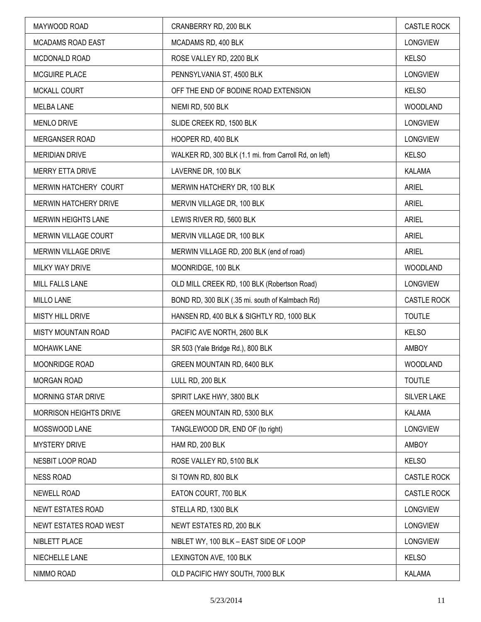| MAYWOOD ROAD                  | CRANBERRY RD, 200 BLK                                 | <b>CASTLE ROCK</b> |
|-------------------------------|-------------------------------------------------------|--------------------|
| <b>MCADAMS ROAD EAST</b>      | MCADAMS RD, 400 BLK                                   | <b>LONGVIEW</b>    |
| MCDONALD ROAD                 | ROSE VALLEY RD, 2200 BLK                              | <b>KELSO</b>       |
| MCGUIRE PLACE                 | PENNSYLVANIA ST, 4500 BLK                             | <b>LONGVIEW</b>    |
| MCKALL COURT                  | OFF THE END OF BODINE ROAD EXTENSION                  | <b>KELSO</b>       |
| <b>MELBA LANE</b>             | NIEMI RD, 500 BLK                                     | <b>WOODLAND</b>    |
| <b>MENLO DRIVE</b>            | SLIDE CREEK RD, 1500 BLK                              | <b>LONGVIEW</b>    |
| MERGANSER ROAD                | HOOPER RD, 400 BLK                                    | <b>LONGVIEW</b>    |
| <b>MERIDIAN DRIVE</b>         | WALKER RD, 300 BLK (1.1 mi. from Carroll Rd, on left) | <b>KELSO</b>       |
| MERRY ETTA DRIVE              | LAVERNE DR, 100 BLK                                   | KALAMA             |
| MERWIN HATCHERY COURT         | MERWIN HATCHERY DR, 100 BLK                           | <b>ARIEL</b>       |
| MERWIN HATCHERY DRIVE         | MERVIN VILLAGE DR, 100 BLK                            | <b>ARIEL</b>       |
| <b>MERWIN HEIGHTS LANE</b>    | LEWIS RIVER RD, 5600 BLK                              | <b>ARIEL</b>       |
| MERWIN VILLAGE COURT          | MERVIN VILLAGE DR, 100 BLK                            | <b>ARIEL</b>       |
| MERWIN VILLAGE DRIVE          | MERWIN VILLAGE RD, 200 BLK (end of road)              | <b>ARIEL</b>       |
| MILKY WAY DRIVE               | MOONRIDGE, 100 BLK                                    | <b>WOODLAND</b>    |
| MILL FALLS LANE               | OLD MILL CREEK RD, 100 BLK (Robertson Road)           | <b>LONGVIEW</b>    |
| MILLO LANE                    | BOND RD, 300 BLK (.35 mi. south of Kalmbach Rd)       | <b>CASTLE ROCK</b> |
| <b>MISTY HILL DRIVE</b>       | HANSEN RD, 400 BLK & SIGHTLY RD, 1000 BLK             | <b>TOUTLE</b>      |
| MISTY MOUNTAIN ROAD           | PACIFIC AVE NORTH, 2600 BLK                           | <b>KELSO</b>       |
| <b>MOHAWK LANE</b>            | SR 503 (Yale Bridge Rd.), 800 BLK                     | AMBOY              |
| <b>MOONRIDGE ROAD</b>         | GREEN MOUNTAIN RD, 6400 BLK                           | WOODLAND           |
| <b>MORGAN ROAD</b>            | LULL RD, 200 BLK                                      | <b>TOUTLE</b>      |
| MORNING STAR DRIVE            | SPIRIT LAKE HWY, 3800 BLK                             | <b>SILVER LAKE</b> |
| <b>MORRISON HEIGHTS DRIVE</b> | GREEN MOUNTAIN RD, 5300 BLK                           | KALAMA             |
| MOSSWOOD LANE                 | TANGLEWOOD DR, END OF (to right)                      | <b>LONGVIEW</b>    |
| MYSTERY DRIVE                 | HAM RD, 200 BLK                                       | AMBOY              |
| NESBIT LOOP ROAD              | ROSE VALLEY RD, 5100 BLK                              | <b>KELSO</b>       |
| <b>NESS ROAD</b>              | SI TOWN RD, 800 BLK                                   | <b>CASTLE ROCK</b> |
| <b>NEWELL ROAD</b>            | EATON COURT, 700 BLK                                  | <b>CASTLE ROCK</b> |
| NEWT ESTATES ROAD             | STELLA RD, 1300 BLK                                   | <b>LONGVIEW</b>    |
| NEWT ESTATES ROAD WEST        | NEWT ESTATES RD, 200 BLK                              | <b>LONGVIEW</b>    |
| NIBLETT PLACE                 | NIBLET WY, 100 BLK - EAST SIDE OF LOOP                | <b>LONGVIEW</b>    |
| NIECHELLE LANE                | LEXINGTON AVE, 100 BLK                                | <b>KELSO</b>       |
| NIMMO ROAD                    | OLD PACIFIC HWY SOUTH, 7000 BLK                       | <b>KALAMA</b>      |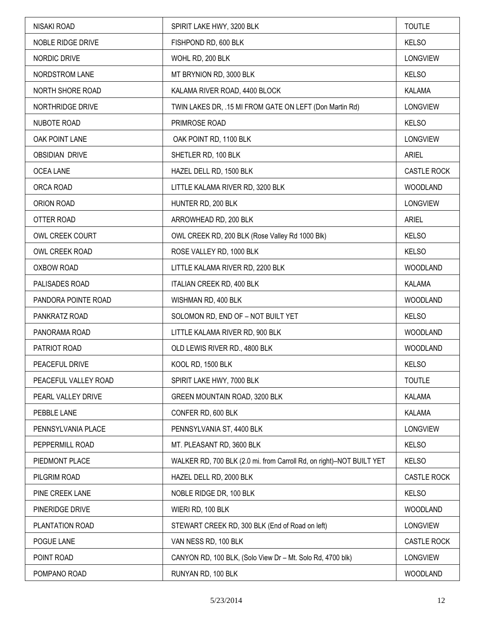| NISAKI ROAD           | SPIRIT LAKE HWY, 3200 BLK                                            | <b>TOUTLE</b>   |
|-----------------------|----------------------------------------------------------------------|-----------------|
| NOBLE RIDGE DRIVE     | FISHPOND RD, 600 BLK                                                 | <b>KELSO</b>    |
| NORDIC DRIVE          | WOHL RD, 200 BLK                                                     | <b>LONGVIEW</b> |
| NORDSTROM LANE        | MT BRYNION RD, 3000 BLK                                              | <b>KELSO</b>    |
| NORTH SHORE ROAD      | KALAMA RIVER ROAD, 4400 BLOCK                                        | <b>KALAMA</b>   |
| NORTHRIDGE DRIVE      | TWIN LAKES DR, .15 MI FROM GATE ON LEFT (Don Martin Rd)              | <b>LONGVIEW</b> |
| NUBOTE ROAD           | PRIMROSE ROAD                                                        | <b>KELSO</b>    |
| OAK POINT LANE        | OAK POINT RD, 1100 BLK                                               | <b>LONGVIEW</b> |
| <b>OBSIDIAN DRIVE</b> | SHETLER RD, 100 BLK                                                  | <b>ARIEL</b>    |
| <b>OCEA LANE</b>      | HAZEL DELL RD, 1500 BLK                                              | CASTLE ROCK     |
| ORCA ROAD             | LITTLE KALAMA RIVER RD, 3200 BLK                                     | WOODLAND        |
| ORION ROAD            | HUNTER RD, 200 BLK                                                   | <b>LONGVIEW</b> |
| OTTER ROAD            | ARROWHEAD RD, 200 BLK                                                | <b>ARIEL</b>    |
| OWL CREEK COURT       | OWL CREEK RD, 200 BLK (Rose Valley Rd 1000 Blk)                      | <b>KELSO</b>    |
| OWL CREEK ROAD        | ROSE VALLEY RD, 1000 BLK                                             | <b>KELSO</b>    |
| OXBOW ROAD            | LITTLE KALAMA RIVER RD, 2200 BLK                                     | WOODLAND        |
| PALISADES ROAD        | ITALIAN CREEK RD, 400 BLK                                            | <b>KALAMA</b>   |
| PANDORA POINTE ROAD   | WISHMAN RD, 400 BLK                                                  | WOODLAND        |
| PANKRATZ ROAD         | SOLOMON RD, END OF - NOT BUILT YET                                   | <b>KELSO</b>    |
| PANORAMA ROAD         | LITTLE KALAMA RIVER RD, 900 BLK                                      | <b>WOODLAND</b> |
| PATRIOT ROAD          | OLD LEWIS RIVER RD., 4800 BLK                                        | WOODLAND        |
| PEACEFUL DRIVE        | KOOL RD, 1500 BLK                                                    | <b>KELSO</b>    |
| PEACEFUL VALLEY ROAD  | SPIRIT LAKE HWY, 7000 BLK                                            | <b>TOUTLE</b>   |
| PEARL VALLEY DRIVE    | GREEN MOUNTAIN ROAD, 3200 BLK                                        | KALAMA          |
| PEBBLE LANE           | CONFER RD, 600 BLK                                                   | KALAMA          |
| PENNSYLVANIA PLACE    | PENNSYLVANIA ST, 4400 BLK                                            | <b>LONGVIEW</b> |
| PEPPERMILL ROAD       | MT. PLEASANT RD, 3600 BLK                                            | <b>KELSO</b>    |
| PIEDMONT PLACE        | WALKER RD, 700 BLK (2.0 mi. from Carroll Rd, on right)-NOT BUILT YET | <b>KELSO</b>    |
| PILGRIM ROAD          | HAZEL DELL RD, 2000 BLK                                              | CASTLE ROCK     |
| PINE CREEK LANE       | NOBLE RIDGE DR, 100 BLK                                              | <b>KELSO</b>    |
| PINERIDGE DRIVE       | WIERI RD, 100 BLK                                                    | WOODLAND        |
| PLANTATION ROAD       | STEWART CREEK RD, 300 BLK (End of Road on left)                      | <b>LONGVIEW</b> |
| POGUE LANE            | VAN NESS RD, 100 BLK                                                 | CASTLE ROCK     |
| POINT ROAD            | CANYON RD, 100 BLK, (Solo View Dr - Mt. Solo Rd, 4700 blk)           | <b>LONGVIEW</b> |
| POMPANO ROAD          | RUNYAN RD, 100 BLK                                                   | WOODLAND        |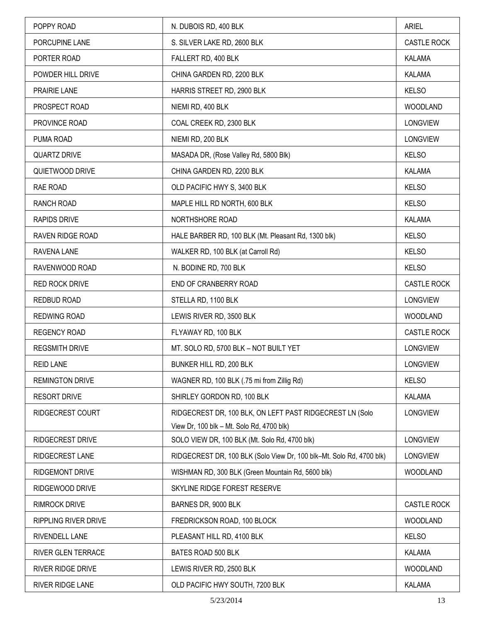| POPPY ROAD                  | N. DUBOIS RD, 400 BLK                                                | <b>ARIEL</b>       |
|-----------------------------|----------------------------------------------------------------------|--------------------|
| PORCUPINE LANE              | S. SILVER LAKE RD, 2600 BLK                                          | <b>CASTLE ROCK</b> |
| PORTER ROAD                 | FALLERT RD, 400 BLK                                                  | <b>KALAMA</b>      |
| POWDER HILL DRIVE           | CHINA GARDEN RD, 2200 BLK                                            | KALAMA             |
| PRAIRIE LANE                | HARRIS STREET RD, 2900 BLK                                           | <b>KELSO</b>       |
| PROSPECT ROAD               | NIEMI RD, 400 BLK                                                    | <b>WOODLAND</b>    |
| PROVINCE ROAD               | COAL CREEK RD, 2300 BLK                                              | LONGVIEW           |
| PUMA ROAD                   | NIEMI RD, 200 BLK                                                    | <b>LONGVIEW</b>    |
| <b>QUARTZ DRIVE</b>         | MASADA DR, (Rose Valley Rd, 5800 Blk)                                | <b>KELSO</b>       |
| QUIETWOOD DRIVE             | CHINA GARDEN RD, 2200 BLK                                            | <b>KALAMA</b>      |
| RAE ROAD                    | OLD PACIFIC HWY S, 3400 BLK                                          | <b>KELSO</b>       |
| RANCH ROAD                  | MAPLE HILL RD NORTH, 600 BLK                                         | <b>KELSO</b>       |
| <b>RAPIDS DRIVE</b>         | NORTHSHORE ROAD                                                      | <b>KALAMA</b>      |
| RAVEN RIDGE ROAD            | HALE BARBER RD, 100 BLK (Mt. Pleasant Rd, 1300 blk)                  | <b>KELSO</b>       |
| RAVENA LANE                 | WALKER RD, 100 BLK (at Carroll Rd)                                   | <b>KELSO</b>       |
| RAVENWOOD ROAD              | N. BODINE RD, 700 BLK                                                | <b>KELSO</b>       |
| RED ROCK DRIVE              | END OF CRANBERRY ROAD                                                | CASTLE ROCK        |
| REDBUD ROAD                 | STELLA RD, 1100 BLK                                                  | LONGVIEW           |
| REDWING ROAD                | LEWIS RIVER RD, 3500 BLK                                             | <b>WOODLAND</b>    |
| <b>REGENCY ROAD</b>         | FLYAWAY RD, 100 BLK                                                  | <b>CASTLE ROCK</b> |
| <b>REGSMITH DRIVE</b>       | MT. SOLO RD, 5700 BLK - NOT BUILT YET                                | <b>LONGVIEW</b>    |
| <b>REID LANE</b>            | BUNKER HILL RD, 200 BLK                                              | <b>LONGVIEW</b>    |
| <b>REMINGTON DRIVE</b>      | WAGNER RD, 100 BLK (.75 mi from Zillig Rd)                           | <b>KELSO</b>       |
| <b>RESORT DRIVE</b>         | SHIRLEY GORDON RD, 100 BLK                                           | <b>KALAMA</b>      |
| RIDGECREST COURT            | RIDGECREST DR, 100 BLK, ON LEFT PAST RIDGECREST LN (Solo             | LONGVIEW           |
|                             | View Dr, 100 blk - Mt. Solo Rd, 4700 blk)                            |                    |
| RIDGECREST DRIVE            | SOLO VIEW DR, 100 BLK (Mt. Solo Rd, 4700 blk)                        | <b>LONGVIEW</b>    |
| RIDGECREST LANE             | RIDGECREST DR, 100 BLK (Solo View Dr, 100 blk-Mt. Solo Rd, 4700 blk) | <b>LONGVIEW</b>    |
| RIDGEMONT DRIVE             | WISHMAN RD, 300 BLK (Green Mountain Rd, 5600 blk)                    | <b>WOODLAND</b>    |
| RIDGEWOOD DRIVE             | SKYLINE RIDGE FOREST RESERVE                                         |                    |
| <b>RIMROCK DRIVE</b>        | BARNES DR, 9000 BLK                                                  | <b>CASTLE ROCK</b> |
| <b>RIPPLING RIVER DRIVE</b> | FREDRICKSON ROAD, 100 BLOCK                                          | <b>WOODLAND</b>    |
| RIVENDELL LANE              | PLEASANT HILL RD, 4100 BLK                                           | <b>KELSO</b>       |
| RIVER GLEN TERRACE          | BATES ROAD 500 BLK                                                   | KALAMA             |
| <b>RIVER RIDGE DRIVE</b>    | LEWIS RIVER RD, 2500 BLK                                             | <b>WOODLAND</b>    |
| RIVER RIDGE LANE            | OLD PACIFIC HWY SOUTH, 7200 BLK                                      | KALAMA             |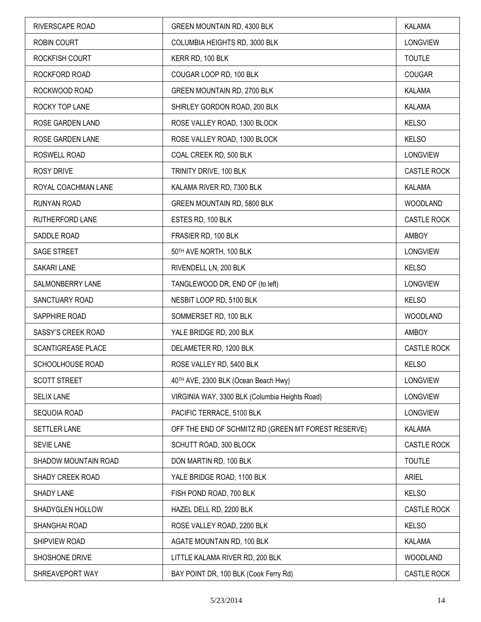| RIVERSCAPE ROAD         | GREEN MOUNTAIN RD, 4300 BLK                         | <b>KALAMA</b>      |
|-------------------------|-----------------------------------------------------|--------------------|
| <b>ROBIN COURT</b>      | COLUMBIA HEIGHTS RD, 3000 BLK                       | LONGVIEW           |
| ROCKFISH COURT          | KERR RD, 100 BLK                                    | <b>TOUTLE</b>      |
| ROCKFORD ROAD           | COUGAR LOOP RD, 100 BLK                             | <b>COUGAR</b>      |
| ROCKWOOD ROAD           | GREEN MOUNTAIN RD, 2700 BLK                         | KALAMA             |
| ROCKY TOP LANE          | SHIRLEY GORDON ROAD, 200 BLK                        | KALAMA             |
| <b>ROSE GARDEN LAND</b> | ROSE VALLEY ROAD, 1300 BLOCK                        | <b>KELSO</b>       |
| ROSE GARDEN LANE        | ROSE VALLEY ROAD, 1300 BLOCK                        | <b>KELSO</b>       |
| ROSWELL ROAD            | COAL CREEK RD, 500 BLK                              | LONGVIEW           |
| <b>ROSY DRIVE</b>       | TRINITY DRIVE, 100 BLK                              | CASTLE ROCK        |
| ROYAL COACHMAN LANE     | KALAMA RIVER RD, 7300 BLK                           | <b>KALAMA</b>      |
| RUNYAN ROAD             | GREEN MOUNTAIN RD, 5800 BLK                         | <b>WOODLAND</b>    |
| RUTHERFORD LANE         | ESTES RD, 100 BLK                                   | CASTLE ROCK        |
| SADDLE ROAD             | FRASIER RD, 100 BLK                                 | AMBOY              |
| SAGE STREET             | 50TH AVE NORTH, 100 BLK                             | <b>LONGVIEW</b>    |
| SAKARI LANE             | RIVENDELL LN, 200 BLK                               | <b>KELSO</b>       |
| SALMONBERRY LANE        | TANGLEWOOD DR, END OF (to left)                     | <b>LONGVIEW</b>    |
| SANCTUARY ROAD          | NESBIT LOOP RD, 5100 BLK                            | <b>KELSO</b>       |
| SAPPHIRE ROAD           | SOMMERSET RD, 100 BLK                               | <b>WOODLAND</b>    |
| SASSY'S CREEK ROAD      | YALE BRIDGE RD, 200 BLK                             | AMBOY              |
| SCANTIGREASE PLACE      | DELAMETER RD, 1200 BLK                              | <b>CASTLE ROCK</b> |
| SCHOOLHOUSE ROAD        | ROSE VALLEY RD, 5400 BLK                            | <b>KELSO</b>       |
| <b>SCOTT STREET</b>     | 40TH AVE, 2300 BLK (Ocean Beach Hwy)                | <b>LONGVIEW</b>    |
| <b>SELIX LANE</b>       | VIRGINIA WAY, 3300 BLK (Columbia Heights Road)      | <b>LONGVIEW</b>    |
| SEQUOIA ROAD            | PACIFIC TERRACE, 5100 BLK                           | LONGVIEW           |
| <b>SETTLER LANE</b>     | OFF THE END OF SCHMITZ RD (GREEN MT FOREST RESERVE) | <b>KALAMA</b>      |
| <b>SEVIE LANE</b>       | SCHUTT ROAD, 300 BLOCK                              | <b>CASTLE ROCK</b> |
| SHADOW MOUNTAIN ROAD    | DON MARTIN RD, 100 BLK                              | <b>TOUTLE</b>      |
| SHADY CREEK ROAD        | YALE BRIDGE ROAD, 1100 BLK                          | <b>ARIEL</b>       |
| SHADY LANE              | FISH POND ROAD, 700 BLK                             | <b>KELSO</b>       |
| SHADYGLEN HOLLOW        | HAZEL DELL RD, 2200 BLK                             | <b>CASTLE ROCK</b> |
| SHANGHAI ROAD           | ROSE VALLEY ROAD, 2200 BLK                          | <b>KELSO</b>       |
| SHIPVIEW ROAD           | AGATE MOUNTAIN RD, 100 BLK                          | <b>KALAMA</b>      |
| SHOSHONE DRIVE          | LITTLE KALAMA RIVER RD, 200 BLK                     | <b>WOODLAND</b>    |
| SHREAVEPORT WAY         | BAY POINT DR, 100 BLK (Cook Ferry Rd)               | <b>CASTLE ROCK</b> |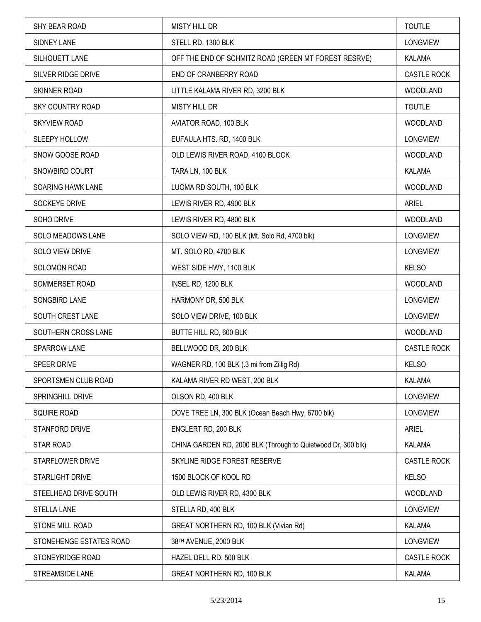| SHY BEAR ROAD            | <b>MISTY HILL DR</b>                                         | <b>TOUTLE</b>      |
|--------------------------|--------------------------------------------------------------|--------------------|
| SIDNEY LANE              | STELL RD, 1300 BLK                                           | <b>LONGVIEW</b>    |
| SILHOUETT LANE           | OFF THE END OF SCHMITZ ROAD (GREEN MT FOREST RESRVE)         | KALAMA             |
| SILVER RIDGE DRIVE       | END OF CRANBERRY ROAD                                        | <b>CASTLE ROCK</b> |
| SKINNER ROAD             | LITTLE KALAMA RIVER RD, 3200 BLK                             | <b>WOODLAND</b>    |
| <b>SKY COUNTRY ROAD</b>  | <b>MISTY HILL DR</b>                                         | <b>TOUTLE</b>      |
| <b>SKYVIEW ROAD</b>      | AVIATOR ROAD, 100 BLK                                        | <b>WOODLAND</b>    |
| SLEEPY HOLLOW            | EUFAULA HTS. RD, 1400 BLK                                    | <b>LONGVIEW</b>    |
| SNOW GOOSE ROAD          | OLD LEWIS RIVER ROAD, 4100 BLOCK                             | <b>WOODLAND</b>    |
| SNOWBIRD COURT           | TARA LN, 100 BLK                                             | <b>KALAMA</b>      |
| <b>SOARING HAWK LANE</b> | LUOMA RD SOUTH, 100 BLK                                      | <b>WOODLAND</b>    |
| SOCKEYE DRIVE            | LEWIS RIVER RD, 4900 BLK                                     | <b>ARIEL</b>       |
| SOHO DRIVE               | LEWIS RIVER RD, 4800 BLK                                     | <b>WOODLAND</b>    |
| <b>SOLO MEADOWS LANE</b> | SOLO VIEW RD, 100 BLK (Mt. Solo Rd, 4700 blk)                | <b>LONGVIEW</b>    |
| SOLO VIEW DRIVE          | MT. SOLO RD, 4700 BLK                                        | <b>LONGVIEW</b>    |
| SOLOMON ROAD             | WEST SIDE HWY, 1100 BLK                                      | <b>KELSO</b>       |
| SOMMERSET ROAD           | INSEL RD, 1200 BLK                                           | <b>WOODLAND</b>    |
| SONGBIRD LANE            | HARMONY DR, 500 BLK                                          | <b>LONGVIEW</b>    |
| SOUTH CREST LANE         | SOLO VIEW DRIVE, 100 BLK                                     | <b>LONGVIEW</b>    |
| SOUTHERN CROSS LANE      | BUTTE HILL RD, 600 BLK                                       | <b>WOODLAND</b>    |
| SPARROW LANE             | BELLWOOD DR, 200 BLK                                         | <b>CASTLE ROCK</b> |
| SPEER DRIVE              | WAGNER RD, 100 BLK (.3 mi from Zillig Rd)                    | <b>KELSO</b>       |
| SPORTSMEN CLUB ROAD      | KALAMA RIVER RD WEST, 200 BLK                                | KALAMA             |
| SPRINGHILL DRIVE         | OLSON RD, 400 BLK                                            | <b>LONGVIEW</b>    |
| <b>SQUIRE ROAD</b>       | DOVE TREE LN, 300 BLK (Ocean Beach Hwy, 6700 blk)            | <b>LONGVIEW</b>    |
| STANFORD DRIVE           | ENGLERT RD, 200 BLK                                          | <b>ARIEL</b>       |
| STAR ROAD                | CHINA GARDEN RD, 2000 BLK (Through to Quietwood Dr, 300 blk) | KALAMA             |
| STARFLOWER DRIVE         | SKYLINE RIDGE FOREST RESERVE                                 | CASTLE ROCK        |
| STARLIGHT DRIVE          | 1500 BLOCK OF KOOL RD                                        | <b>KELSO</b>       |
| STEELHEAD DRIVE SOUTH    | OLD LEWIS RIVER RD, 4300 BLK                                 | <b>WOODLAND</b>    |
| <b>STELLA LANE</b>       | STELLA RD, 400 BLK                                           | <b>LONGVIEW</b>    |
| STONE MILL ROAD          | GREAT NORTHERN RD, 100 BLK (Vivian Rd)                       | KALAMA             |
| STONEHENGE ESTATES ROAD  | 38TH AVENUE, 2000 BLK                                        | <b>LONGVIEW</b>    |
| STONEYRIDGE ROAD         | HAZEL DELL RD, 500 BLK                                       | <b>CASTLE ROCK</b> |
| STREAMSIDE LANE          | GREAT NORTHERN RD, 100 BLK                                   | KALAMA             |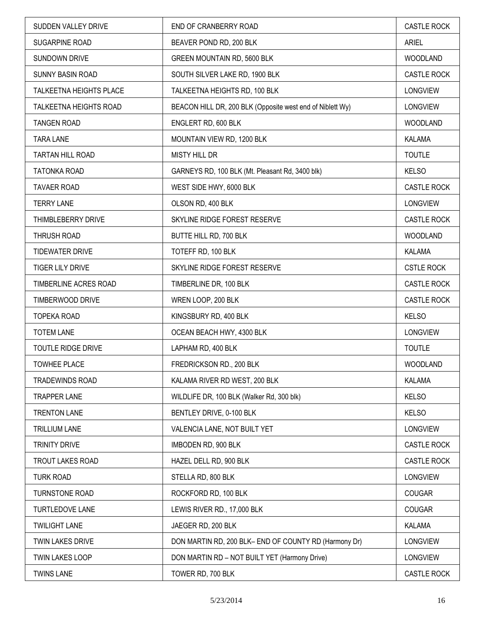| SUDDEN VALLEY DRIVE       | END OF CRANBERRY ROAD                                     | <b>CASTLE ROCK</b> |
|---------------------------|-----------------------------------------------------------|--------------------|
| SUGARPINE ROAD            | BEAVER POND RD, 200 BLK                                   | <b>ARIEL</b>       |
| SUNDOWN DRIVE             | GREEN MOUNTAIN RD, 5600 BLK                               | <b>WOODLAND</b>    |
| <b>SUNNY BASIN ROAD</b>   | SOUTH SILVER LAKE RD, 1900 BLK                            | <b>CASTLE ROCK</b> |
| TALKEETNA HEIGHTS PLACE   | TALKEETNA HEIGHTS RD, 100 BLK                             | <b>LONGVIEW</b>    |
| TALKEETNA HEIGHTS ROAD    | BEACON HILL DR, 200 BLK (Opposite west end of Niblett Wy) | LONGVIEW           |
| <b>TANGEN ROAD</b>        | ENGLERT RD, 600 BLK                                       | <b>WOODLAND</b>    |
| <b>TARA LANE</b>          | MOUNTAIN VIEW RD, 1200 BLK                                | <b>KALAMA</b>      |
| TARTAN HILL ROAD          | <b>MISTY HILL DR</b>                                      | <b>TOUTLE</b>      |
| TATONKA ROAD              | GARNEYS RD, 100 BLK (Mt. Pleasant Rd, 3400 blk)           | <b>KELSO</b>       |
| <b>TAVAER ROAD</b>        | WEST SIDE HWY, 6000 BLK                                   | <b>CASTLE ROCK</b> |
| <b>TERRY LANE</b>         | OLSON RD, 400 BLK                                         | <b>LONGVIEW</b>    |
| THIMBLEBERRY DRIVE        | SKYLINE RIDGE FOREST RESERVE                              | <b>CASTLE ROCK</b> |
| <b>THRUSH ROAD</b>        | BUTTE HILL RD, 700 BLK                                    | <b>WOODLAND</b>    |
| <b>TIDEWATER DRIVE</b>    | TOTEFF RD, 100 BLK                                        | KALAMA             |
| <b>TIGER LILY DRIVE</b>   | SKYLINE RIDGE FOREST RESERVE                              | <b>CSTLE ROCK</b>  |
| TIMBERLINE ACRES ROAD     | TIMBERLINE DR, 100 BLK                                    | CASTLE ROCK        |
| TIMBERWOOD DRIVE          | WREN LOOP, 200 BLK                                        | <b>CASTLE ROCK</b> |
| <b>TOPEKA ROAD</b>        | KINGSBURY RD, 400 BLK                                     | <b>KELSO</b>       |
| <b>TOTEM LANE</b>         | OCEAN BEACH HWY, 4300 BLK                                 | <b>LONGVIEW</b>    |
| <b>TOUTLE RIDGE DRIVE</b> | LAPHAM RD, 400 BLK                                        | <b>TOUTLE</b>      |
| <b>TOWHEE PLACE</b>       | FREDRICKSON RD., 200 BLK                                  | <b>WOODLAND</b>    |
| <b>TRADEWINDS ROAD</b>    | KALAMA RIVER RD WEST, 200 BLK                             | KALAMA             |
| <b>TRAPPER LANE</b>       | WILDLIFE DR, 100 BLK (Walker Rd, 300 blk)                 | <b>KELSO</b>       |
| <b>TRENTON LANE</b>       | BENTLEY DRIVE, 0-100 BLK                                  | <b>KELSO</b>       |
| <b>TRILLIUM LANE</b>      | VALENCIA LANE, NOT BUILT YET                              | <b>LONGVIEW</b>    |
| <b>TRINITY DRIVE</b>      | IMBODEN RD, 900 BLK                                       | CASTLE ROCK        |
| <b>TROUT LAKES ROAD</b>   | HAZEL DELL RD, 900 BLK                                    | CASTLE ROCK        |
| <b>TURK ROAD</b>          | STELLA RD, 800 BLK                                        | <b>LONGVIEW</b>    |
| <b>TURNSTONE ROAD</b>     | ROCKFORD RD, 100 BLK                                      | <b>COUGAR</b>      |
| <b>TURTLEDOVE LANE</b>    | LEWIS RIVER RD., 17,000 BLK                               | <b>COUGAR</b>      |
| <b>TWILIGHT LANE</b>      | JAEGER RD, 200 BLK                                        | KALAMA             |
| <b>TWIN LAKES DRIVE</b>   | DON MARTIN RD, 200 BLK- END OF COUNTY RD (Harmony Dr)     | <b>LONGVIEW</b>    |
| TWIN LAKES LOOP           | DON MARTIN RD - NOT BUILT YET (Harmony Drive)             | LONGVIEW           |
| <b>TWINS LANE</b>         | TOWER RD, 700 BLK                                         | CASTLE ROCK        |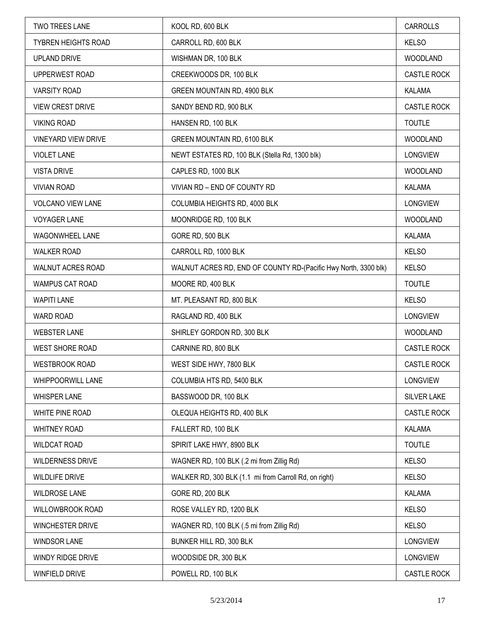| <b>TWO TREES LANE</b>      | KOOL RD, 600 BLK                                                | <b>CARROLLS</b>    |
|----------------------------|-----------------------------------------------------------------|--------------------|
| <b>TYBREN HEIGHTS ROAD</b> | CARROLL RD, 600 BLK                                             | <b>KELSO</b>       |
| <b>UPLAND DRIVE</b>        | WISHMAN DR, 100 BLK                                             | <b>WOODLAND</b>    |
| UPPERWEST ROAD             | CREEKWOODS DR, 100 BLK                                          | <b>CASTLE ROCK</b> |
| <b>VARSITY ROAD</b>        | GREEN MOUNTAIN RD, 4900 BLK                                     | <b>KALAMA</b>      |
| <b>VIEW CREST DRIVE</b>    | SANDY BEND RD, 900 BLK                                          | CASTLE ROCK        |
| <b>VIKING ROAD</b>         | HANSEN RD, 100 BLK                                              | <b>TOUTLE</b>      |
| VINEYARD VIEW DRIVE        | GREEN MOUNTAIN RD, 6100 BLK                                     | <b>WOODLAND</b>    |
| <b>VIOLET LANE</b>         | NEWT ESTATES RD, 100 BLK (Stella Rd, 1300 blk)                  | <b>LONGVIEW</b>    |
| <b>VISTA DRIVE</b>         | CAPLES RD, 1000 BLK                                             | <b>WOODLAND</b>    |
| <b>VIVIAN ROAD</b>         | VIVIAN RD - END OF COUNTY RD                                    | KALAMA             |
| VOLCANO VIEW LANE          | COLUMBIA HEIGHTS RD, 4000 BLK                                   | <b>LONGVIEW</b>    |
| <b>VOYAGER LANE</b>        | MOONRIDGE RD, 100 BLK                                           | <b>WOODLAND</b>    |
| WAGONWHEEL LANE            | GORE RD, 500 BLK                                                | KALAMA             |
| <b>WALKER ROAD</b>         | CARROLL RD, 1000 BLK                                            | <b>KELSO</b>       |
| WALNUT ACRES ROAD          | WALNUT ACRES RD, END OF COUNTY RD-(Pacific Hwy North, 3300 blk) | <b>KELSO</b>       |
| WAMPUS CAT ROAD            | MOORE RD, 400 BLK                                               | <b>TOUTLE</b>      |
| <b>WAPITI LANE</b>         | MT. PLEASANT RD, 800 BLK                                        | <b>KELSO</b>       |
| WARD ROAD                  | RAGLAND RD, 400 BLK                                             | <b>LONGVIEW</b>    |
| <b>WEBSTER LANE</b>        | SHIRLEY GORDON RD, 300 BLK                                      | <b>WOODLAND</b>    |
| <b>WEST SHORE ROAD</b>     | CARNINE RD, 800 BLK                                             | <b>CASTLE ROCK</b> |
| <b>WESTBROOK ROAD</b>      | WEST SIDE HWY, 7800 BLK                                         | <b>CASTLE ROCK</b> |
| <b>WHIPPOORWILL LANE</b>   | COLUMBIA HTS RD, 5400 BLK                                       | <b>LONGVIEW</b>    |
| <b>WHISPER LANE</b>        | BASSWOOD DR, 100 BLK                                            | <b>SILVER LAKE</b> |
| WHITE PINE ROAD            | OLEQUA HEIGHTS RD, 400 BLK                                      | CASTLE ROCK        |
| <b>WHITNEY ROAD</b>        | FALLERT RD, 100 BLK                                             | KALAMA             |
| <b>WILDCAT ROAD</b>        | SPIRIT LAKE HWY, 8900 BLK                                       | <b>TOUTLE</b>      |
| <b>WILDERNESS DRIVE</b>    | WAGNER RD, 100 BLK (.2 mi from Zillig Rd)                       | <b>KELSO</b>       |
| <b>WILDLIFE DRIVE</b>      | WALKER RD, 300 BLK (1.1 mi from Carroll Rd, on right)           | <b>KELSO</b>       |
| <b>WILDROSE LANE</b>       | GORE RD, 200 BLK                                                | KALAMA             |
| WILLOWBROOK ROAD           | ROSE VALLEY RD, 1200 BLK                                        | <b>KELSO</b>       |
| WINCHESTER DRIVE           | WAGNER RD, 100 BLK (.5 mi from Zillig Rd)                       | <b>KELSO</b>       |
| <b>WINDSOR LANE</b>        | BUNKER HILL RD, 300 BLK                                         | <b>LONGVIEW</b>    |
| WINDY RIDGE DRIVE          | WOODSIDE DR, 300 BLK                                            | LONGVIEW           |
| WINFIELD DRIVE             | POWELL RD, 100 BLK                                              | <b>CASTLE ROCK</b> |